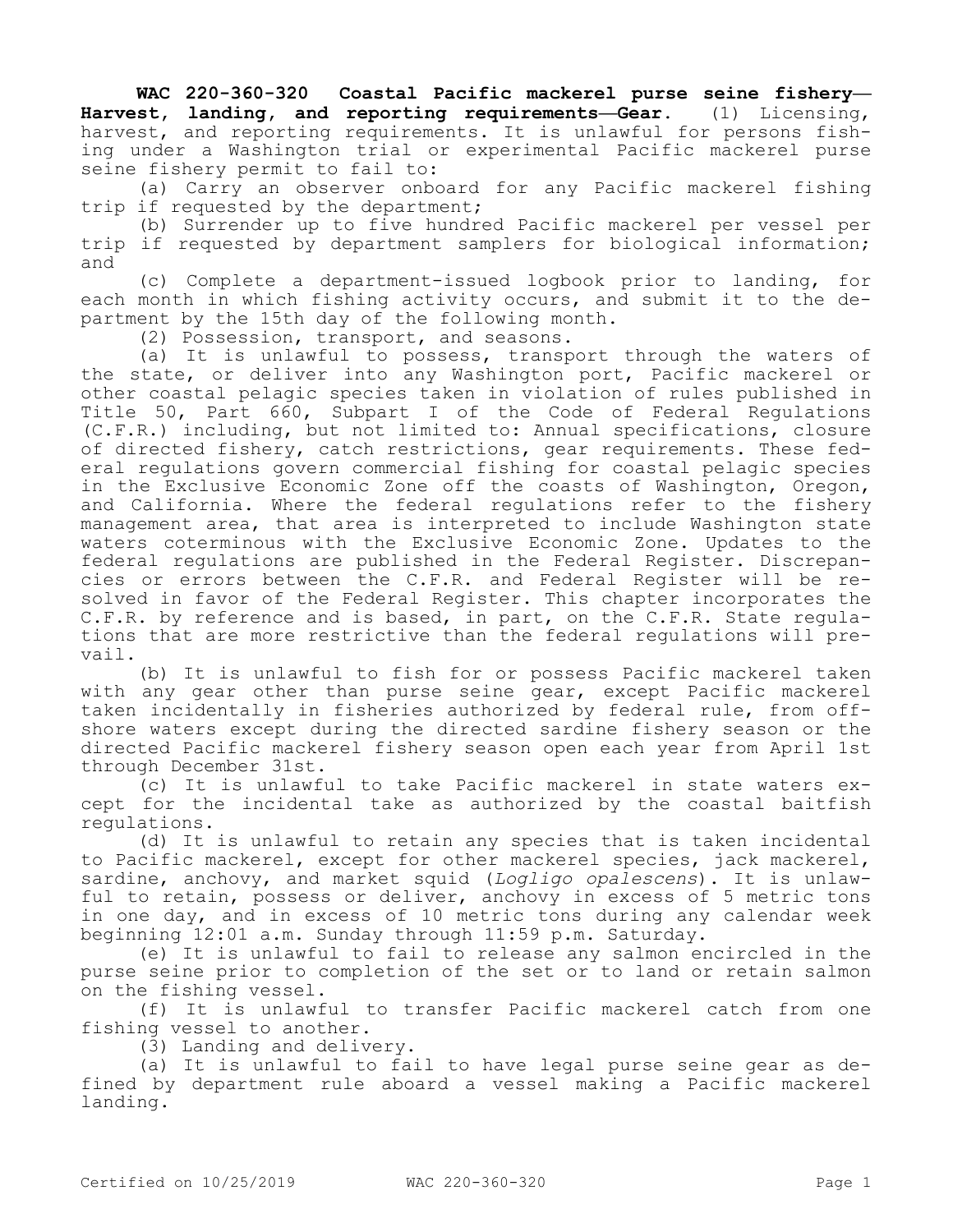**WAC 220-360-320 Coastal Pacific mackerel purse seine fishery— Harvest, landing, and reporting requirements—Gear.** (1) Licensing, harvest, and reporting requirements. It is unlawful for persons fishing under a Washington trial or experimental Pacific mackerel purse seine fishery permit to fail to:

(a) Carry an observer onboard for any Pacific mackerel fishing trip if requested by the department;

(b) Surrender up to five hundred Pacific mackerel per vessel per trip if requested by department samplers for biological information; and

(c) Complete a department-issued logbook prior to landing, for each month in which fishing activity occurs, and submit it to the department by the 15th day of the following month.

(2) Possession, transport, and seasons.

(a) It is unlawful to possess, transport through the waters of the state, or deliver into any Washington port, Pacific mackerel or other coastal pelagic species taken in violation of rules published in Title 50, Part 660, Subpart I of the Code of Federal Regulations (C.F.R.) including, but not limited to: Annual specifications, closure of directed fishery, catch restrictions, gear requirements. These federal regulations govern commercial fishing for coastal pelagic species in the Exclusive Economic Zone off the coasts of Washington, Oregon, and California. Where the federal regulations refer to the fishery management area, that area is interpreted to include Washington state waters coterminous with the Exclusive Economic Zone. Updates to the federal regulations are published in the Federal Register. Discrepancies or errors between the C.F.R. and Federal Register will be resolved in favor of the Federal Register. This chapter incorporates the C.F.R. by reference and is based, in part, on the C.F.R. State regulations that are more restrictive than the federal regulations will prevail.

(b) It is unlawful to fish for or possess Pacific mackerel taken with any gear other than purse seine gear, except Pacific mackerel taken incidentally in fisheries authorized by federal rule, from offshore waters except during the directed sardine fishery season or the directed Pacific mackerel fishery season open each year from April 1st through December 31st.

(c) It is unlawful to take Pacific mackerel in state waters except for the incidental take as authorized by the coastal baitfish regulations.

(d) It is unlawful to retain any species that is taken incidental to Pacific mackerel, except for other mackerel species, jack mackerel, sardine, anchovy, and market squid (*Logligo opalescens*). It is unlawful to retain, possess or deliver, anchovy in excess of 5 metric tons in one day, and in excess of 10 metric tons during any calendar week beginning 12:01 a.m. Sunday through 11:59 p.m. Saturday.

(e) It is unlawful to fail to release any salmon encircled in the purse seine prior to completion of the set or to land or retain salmon on the fishing vessel.

(f) It is unlawful to transfer Pacific mackerel catch from one fishing vessel to another.

(3) Landing and delivery.

(a) It is unlawful to fail to have legal purse seine gear as defined by department rule aboard a vessel making a Pacific mackerel landing.